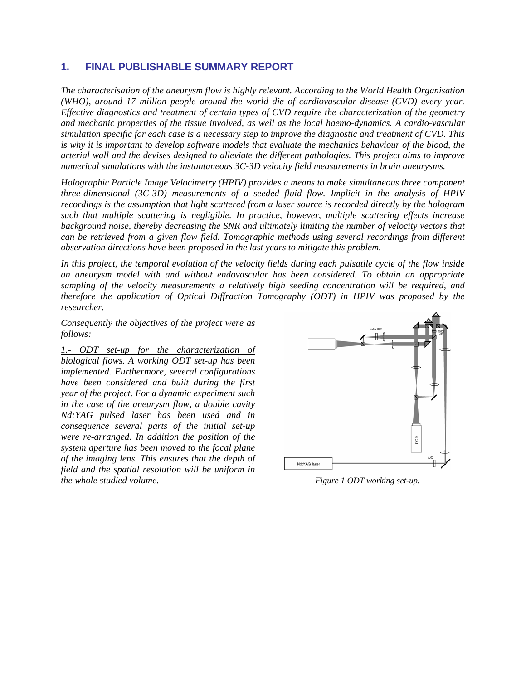## **1. FINAL PUBLISHABLE SUMMARY REPORT**

*The characterisation of the aneurysm flow is highly relevant. According to the World Health Organisation (WHO), around 17 million people around the world die of cardiovascular disease (CVD) every year. Effective diagnostics and treatment of certain types of CVD require the characterization of the geometry and mechanic properties of the tissue involved, as well as the local haemo-dynamics. A cardio-vascular simulation specific for each case is a necessary step to improve the diagnostic and treatment of CVD. This is why it is important to develop software models that evaluate the mechanics behaviour of the blood, the arterial wall and the devises designed to alleviate the different pathologies. This project aims to improve numerical simulations with the instantaneous 3C-3D velocity field measurements in brain aneurysms.* 

*Holographic Particle Image Velocimetry (HPIV) provides a means to make simultaneous three component three-dimensional (3C-3D) measurements of a seeded fluid flow. Implicit in the analysis of HPIV recordings is the assumption that light scattered from a laser source is recorded directly by the hologram such that multiple scattering is negligible. In practice, however, multiple scattering effects increase background noise, thereby decreasing the SNR and ultimately limiting the number of velocity vectors that can be retrieved from a given flow field. Tomographic methods using several recordings from different observation directions have been proposed in the last years to mitigate this problem.* 

*In this project, the temporal evolution of the velocity fields during each pulsatile cycle of the flow inside an aneurysm model with and without endovascular has been considered. To obtain an appropriate sampling of the velocity measurements a relatively high seeding concentration will be required, and therefore the application of Optical Diffraction Tomography (ODT) in HPIV was proposed by the researcher.* 

*Consequently the objectives of the project were as follows:* 

*1.- ODT set-up for the characterization of biological flows. A working ODT set-up has been implemented. Furthermore, several configurations have been considered and built during the first year of the project. For a dynamic experiment such in the case of the aneurysm flow, a double cavity Nd:YAG pulsed laser has been used and in consequence several parts of the initial set-up were re-arranged. In addition the position of the system aperture has been moved to the focal plane of the imaging lens. This ensures that the depth of field and the spatial resolution will be uniform in the whole studied volume.* The studied volume. The studies of the studies of the studies of the studies of the studies of the studies of the studies of the studies of the studies of the studies of the studies of the studi

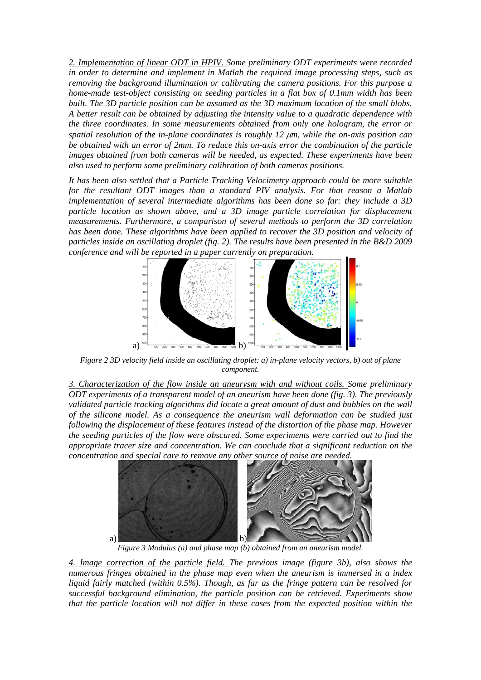*2. Implementation of linear ODT in HPIV. Some preliminary ODT experiments were recorded in order to determine and implement in Matlab the required image processing steps, such as removing the background illumination or calibrating the camera positions. For this purpose a home-made test-object consisting on seeding particles in a flat box of 0.1mm width has been built. The 3D particle position can be assumed as the 3D maximum location of the small blobs. A better result can be obtained by adjusting the intensity value to a quadratic dependence with the three coordinates. In some measurements obtained from only one hologram, the error or spatial resolution of the in-plane coordinates is roughly 12* μ*m, while the on-axis position can be obtained with an error of 2mm. To reduce this on-axis error the combination of the particle images obtained from both cameras will be needed, as expected. These experiments have been also used to perform some preliminary calibration of both cameras positions.* 

*It has been also settled that a Particle Tracking Velocimetry approach could be more suitable*  for the resultant ODT images than a standard PIV analysis. For that reason a Matlab *implementation of several intermediate algorithms has been done so far: they include a 3D particle location as shown above, and a 3D image particle correlation for displacement measurements. Furthermore, a comparison of several methods to perform the 3D correlation has been done. These algorithms have been applied to recover the 3D position and velocity of particles inside an oscillating droplet (fig. 2). The results have been presented in the B&D 2009 conference and will be reported in a paper currently on preparation.* 



*Figure 2 3D velocity field inside an oscillating droplet: a) in-plane velocity vectors, b) out of plane component.* 

*3. Characterization of the flow inside an aneurysm with and without coils. Some preliminary ODT experiments of a transparent model of an aneurism have been done (fig. 3). The previously validated particle tracking algorithms did locate a great amount of dust and bubbles on the wall of the silicone model. As a consequence the aneurism wall deformation can be studied just following the displacement of these features instead of the distortion of the phase map. However the seeding particles of the flow were obscured. Some experiments were carried out to find the appropriate tracer size and concentration. We can conclude that a significant reduction on the concentration and special care to remove any other source of noise are needed.* 



*Figure 3 Modulus (a) and phase map (b) obtained from an aneurism model.* 

*4. Image correction of the particle field. The previous image (figure 3b), also shows the numerous fringes obtained in the phase map even when the aneurism is immersed in a index liquid fairly matched (within 0.5%). Though, as far as the fringe pattern can be resolved for successful background elimination, the particle position can be retrieved. Experiments show that the particle location will not differ in these cases from the expected position within the*